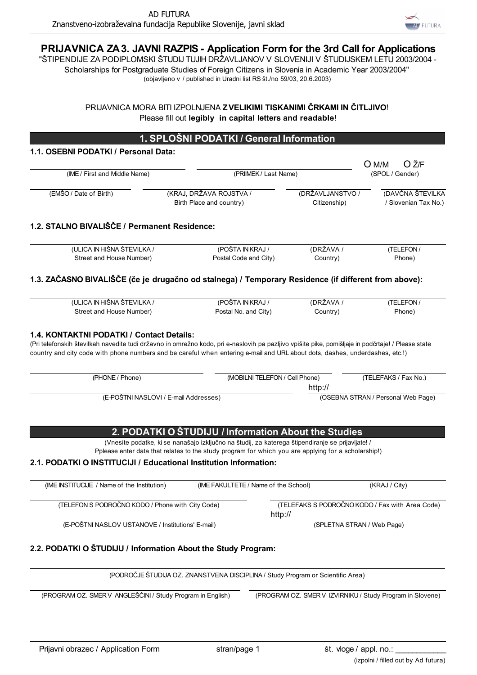

# **PRIJAVNICA ZA 3. JAVNI RAZPIS - Application Form for the 3rd Call for Applications**

"ŠTIPENDIJE ZA PODIPLOMSKI ŠTUDIJ TUJIH DRŽAVLJANOV V SLOVENIJI V ŠTUDIJSKEM LETU 2003/2004 - Scholarships for Postgraduate Studies of Foreign Citizens in Slovenia in Academic Year 2003/2004" (objavljeno v / published in Uradni list RS št./no 59/03, 20.6.2003)

> PRIJAVNICA MORA BITI IZPOLNJENA **Z VELIKIMI TISKANIMI ČRKAMI IN ČITLJIVO**! Please fill out **legibly in capital letters and readable**!

## **1. SPLOŠNI PODATKI / General Information**

#### **1.1. OSEBNI PODATKI / Personal Data:**

| (IME / First and Middle Name)                                                                                                                                                                                                                                                                                                                                                                                                                       |                                                                                                                                                           | (PRIIMEK / Last Name)            |                                                 |
|-----------------------------------------------------------------------------------------------------------------------------------------------------------------------------------------------------------------------------------------------------------------------------------------------------------------------------------------------------------------------------------------------------------------------------------------------------|-----------------------------------------------------------------------------------------------------------------------------------------------------------|----------------------------------|-------------------------------------------------|
| (EMŠO / Date of Birth)                                                                                                                                                                                                                                                                                                                                                                                                                              | (KRAJ, DRŽAVA ROJSTVA /<br>Birth Place and country)                                                                                                       | (DRŽAVLJANSTVO /<br>Citizenship) | (DAVČNA ŠTEVILKA<br>/ Slovenian Tax No.)        |
| 1.2. STALNO BIVALIŠČE / Permanent Residence:                                                                                                                                                                                                                                                                                                                                                                                                        |                                                                                                                                                           |                                  |                                                 |
| (ULICA IN HIŠNA ŠTEVILKA /<br>Street and House Number)                                                                                                                                                                                                                                                                                                                                                                                              | (POŠTA INKRAJ /<br>Postal Code and City)                                                                                                                  | (DRŽAVA /<br>Country)            | (TELEFON/<br>Phone)                             |
| 1.3. ZAČASNO BIVALIŠČE (če je drugačno od stalnega) / Temporary Residence (if different from above):                                                                                                                                                                                                                                                                                                                                                |                                                                                                                                                           |                                  |                                                 |
|                                                                                                                                                                                                                                                                                                                                                                                                                                                     |                                                                                                                                                           |                                  |                                                 |
| (ULICA IN HIŠNA ŠTEVILKA /<br>Street and House Number)                                                                                                                                                                                                                                                                                                                                                                                              | (POŠTA INKRAJ /<br>Postal No. and City)                                                                                                                   | (DRŽAVA /<br>Country)            | (TELEFON /<br>Phone)                            |
|                                                                                                                                                                                                                                                                                                                                                                                                                                                     |                                                                                                                                                           |                                  |                                                 |
|                                                                                                                                                                                                                                                                                                                                                                                                                                                     |                                                                                                                                                           |                                  |                                                 |
| (PHONE / Phone)                                                                                                                                                                                                                                                                                                                                                                                                                                     |                                                                                                                                                           | (MOBILNI TELEFON / Cell Phone)   | (TELEFAKS / Fax No.)                            |
|                                                                                                                                                                                                                                                                                                                                                                                                                                                     |                                                                                                                                                           | http://                          |                                                 |
|                                                                                                                                                                                                                                                                                                                                                                                                                                                     | (E-POŠTNI NASLOVI / E-mail Addresses)                                                                                                                     |                                  | (OSEBNA STRAN / Personal Web Page)              |
|                                                                                                                                                                                                                                                                                                                                                                                                                                                     | 2. PODATKI O STUDIJU / Information About the Studies<br>(Vnesite podatke, ki se nanašajo izključno na študij, za katerega štipendiranje se prijavljate! / |                                  |                                                 |
|                                                                                                                                                                                                                                                                                                                                                                                                                                                     | Pplease enter data that relates to the study program for which you are applying for a scholarship!)                                                       |                                  |                                                 |
|                                                                                                                                                                                                                                                                                                                                                                                                                                                     |                                                                                                                                                           |                                  |                                                 |
| 1.4. KONTAKTNI PODATKI / Contact Details:<br>(Pri telefonskih številkah navedite tudi državno in omrežno kodo, pri e-naslovih pa pazljivo vpišite pike, pomišljaje in podčrtaje! / Please state<br>country and city code with phone numbers and be careful when entering e-mail and URL about dots, dashes, underdashes, etc.!)<br>2.1. PODATKI O INSTITUCIJI / Educational Institution Information:<br>(IME INSTITUCIJE / Name of the Institution) | (IME FAKULTETE / Name of the School)                                                                                                                      |                                  | (KRAJ / City)                                   |
| (TELEFON S PODROČNO KODO / Phone with City Code)                                                                                                                                                                                                                                                                                                                                                                                                    |                                                                                                                                                           | http://                          | (TELEFAKS S PODROČNO KODO / Fax with Area Code) |

#### **2.2. PODATKI O ŠTUDIJU / Information About the Study Program:**

(PODROČJE ŠTUDIJA OZ. ZNANSTVENA DISCIPLINA / Study Program or Scientific Area)

(PROGRAM OZ. SMER V ANGLEŠČINI / Study Program in English) (PROGRAM OZ. SMER V IZVIRNIKU / Study Program in Slovene)